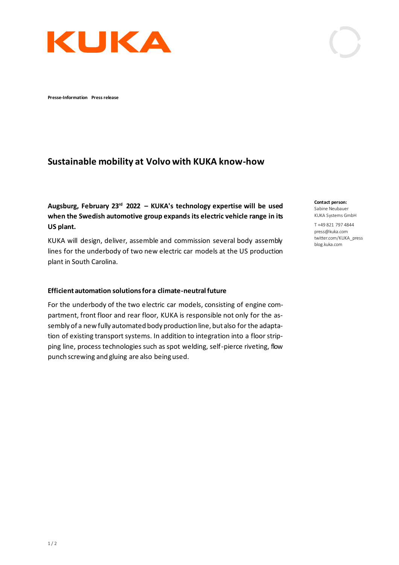

**Presse-Information Press release** 

## **Sustainable mobility at Volvo with KUKA know-how**

**Augsburg, February 23rd 2022 – KUKA's technology expertise will be used when the Swedish automotive group expands its electric vehicle range in its US plant.**

KUKA will design, deliver, assemble and commission several body assembly lines for the underbody of two new electric car models at the US production plant in South Carolina.

## **Efficient automation solutions for a climate-neutral future**

For the underbody of the two electric car models, consisting of engine compartment, front floor and rear floor, KUKA is responsible not only for the assembly of a new fully automated body production line, but also for the adaptation of existing transport systems. In addition to integration into a floor stripping line, process technologies such as spot welding, self-pierce riveting, flow punch screwing and gluing are also being used.

**Contact person:** Sabine Neubauer KUKA Systems GmbH

T +49 821 797 4844 press@kuka.com twitter.com/KUKA\_press blog.kuka.com